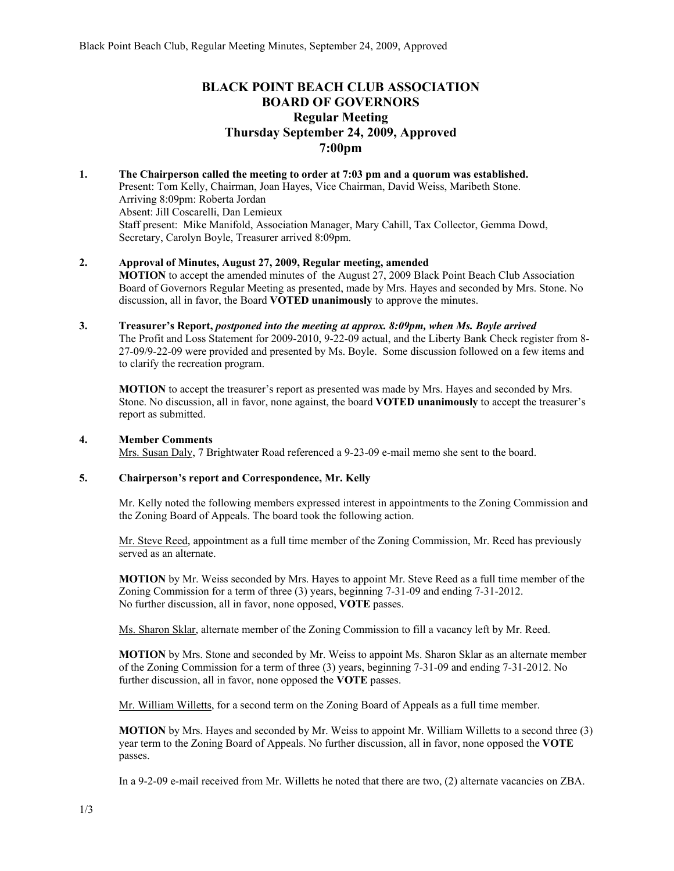## **BLACK POINT BEACH CLUB ASSOCIATION BOARD OF GOVERNORS Regular Meeting Thursday September 24, 2009, Approved 7:00pm**

#### **1. The Chairperson called the meeting to order at 7:03 pm and a quorum was established.**  Present: Tom Kelly, Chairman, Joan Hayes, Vice Chairman, David Weiss, Maribeth Stone. Arriving 8:09pm: Roberta Jordan Absent: Jill Coscarelli, Dan Lemieux Staff present: Mike Manifold, Association Manager, Mary Cahill, Tax Collector, Gemma Dowd, Secretary, Carolyn Boyle, Treasurer arrived 8:09pm.

# **2. Approval of Minutes, August 27, 2009, Regular meeting, amended**

**MOTION** to accept the amended minutes of the August 27, 2009 Black Point Beach Club Association Board of Governors Regular Meeting as presented, made by Mrs. Hayes and seconded by Mrs. Stone. No discussion, all in favor, the Board **VOTED unanimously** to approve the minutes.

### **3. Treasurer's Report,** *postponed into the meeting at approx. 8:09pm, when Ms. Boyle arrived* The Profit and Loss Statement for 2009-2010, 9-22-09 actual, and the Liberty Bank Check register from 8- 27-09/9-22-09 were provided and presented by Ms. Boyle. Some discussion followed on a few items and to clarify the recreation program.

**MOTION** to accept the treasurer's report as presented was made by Mrs. Hayes and seconded by Mrs. Stone. No discussion, all in favor, none against, the board **VOTED unanimously** to accept the treasurer's report as submitted.

## **4. Member Comments**

Mrs. Susan Daly, 7 Brightwater Road referenced a 9-23-09 e-mail memo she sent to the board.

## **5. Chairperson's report and Correspondence, Mr. Kelly**

Mr. Kelly noted the following members expressed interest in appointments to the Zoning Commission and the Zoning Board of Appeals. The board took the following action.

Mr. Steve Reed, appointment as a full time member of the Zoning Commission, Mr. Reed has previously served as an alternate.

**MOTION** by Mr. Weiss seconded by Mrs. Hayes to appoint Mr. Steve Reed as a full time member of the Zoning Commission for a term of three (3) years, beginning 7-31-09 and ending 7-31-2012. No further discussion, all in favor, none opposed, **VOTE** passes.

Ms. Sharon Sklar, alternate member of the Zoning Commission to fill a vacancy left by Mr. Reed.

**MOTION** by Mrs. Stone and seconded by Mr. Weiss to appoint Ms. Sharon Sklar as an alternate member of the Zoning Commission for a term of three (3) years, beginning 7-31-09 and ending 7-31-2012. No further discussion, all in favor, none opposed the **VOTE** passes.

Mr. William Willetts, for a second term on the Zoning Board of Appeals as a full time member.

**MOTION** by Mrs. Hayes and seconded by Mr. Weiss to appoint Mr. William Willetts to a second three (3) year term to the Zoning Board of Appeals. No further discussion, all in favor, none opposed the **VOTE** passes.

In a 9-2-09 e-mail received from Mr. Willetts he noted that there are two, (2) alternate vacancies on ZBA.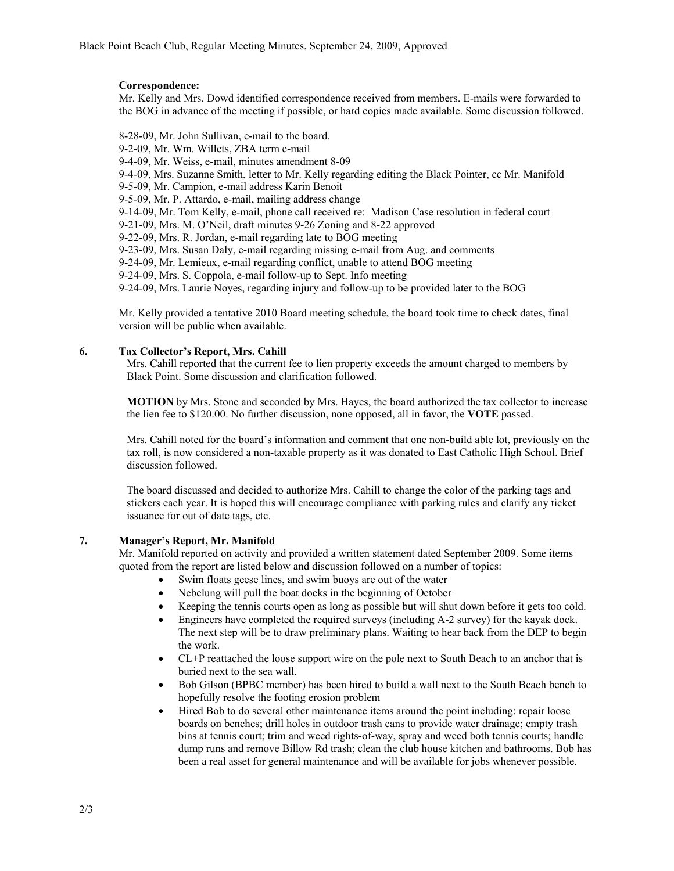#### **Correspondence:**

Mr. Kelly and Mrs. Dowd identified correspondence received from members. E-mails were forwarded to the BOG in advance of the meeting if possible, or hard copies made available. Some discussion followed.

8-28-09, Mr. John Sullivan, e-mail to the board. 9-2-09, Mr. Wm. Willets, ZBA term e-mail 9-4-09, Mr. Weiss, e-mail, minutes amendment 8-09 9-4-09, Mrs. Suzanne Smith, letter to Mr. Kelly regarding editing the Black Pointer, cc Mr. Manifold 9-5-09, Mr. Campion, e-mail address Karin Benoit 9-5-09, Mr. P. Attardo, e-mail, mailing address change 9-14-09, Mr. Tom Kelly, e-mail, phone call received re: Madison Case resolution in federal court 9-21-09, Mrs. M. O'Neil, draft minutes 9-26 Zoning and 8-22 approved 9-22-09, Mrs. R. Jordan, e-mail regarding late to BOG meeting 9-23-09, Mrs. Susan Daly, e-mail regarding missing e-mail from Aug. and comments 9-24-09, Mr. Lemieux, e-mail regarding conflict, unable to attend BOG meeting 9-24-09, Mrs. S. Coppola, e-mail follow-up to Sept. Info meeting 9-24-09, Mrs. Laurie Noyes, regarding injury and follow-up to be provided later to the BOG

Mr. Kelly provided a tentative 2010 Board meeting schedule, the board took time to check dates, final version will be public when available.

#### **6. Tax Collector's Report, Mrs. Cahill**

Mrs. Cahill reported that the current fee to lien property exceeds the amount charged to members by Black Point. Some discussion and clarification followed.

**MOTION** by Mrs. Stone and seconded by Mrs. Hayes, the board authorized the tax collector to increase the lien fee to \$120.00. No further discussion, none opposed, all in favor, the **VOTE** passed.

Mrs. Cahill noted for the board's information and comment that one non-build able lot, previously on the tax roll, is now considered a non-taxable property as it was donated to East Catholic High School. Brief discussion followed.

The board discussed and decided to authorize Mrs. Cahill to change the color of the parking tags and stickers each year. It is hoped this will encourage compliance with parking rules and clarify any ticket issuance for out of date tags, etc.

#### **7. Manager's Report, Mr. Manifold**

Mr. Manifold reported on activity and provided a written statement dated September 2009. Some items quoted from the report are listed below and discussion followed on a number of topics:

- Swim floats geese lines, and swim buoys are out of the water
- Nebelung will pull the boat docks in the beginning of October
- Keeping the tennis courts open as long as possible but will shut down before it gets too cold.
- Engineers have completed the required surveys (including A-2 survey) for the kayak dock. The next step will be to draw preliminary plans. Waiting to hear back from the DEP to begin the work.
- CL+P reattached the loose support wire on the pole next to South Beach to an anchor that is buried next to the sea wall.
- Bob Gilson (BPBC member) has been hired to build a wall next to the South Beach bench to hopefully resolve the footing erosion problem
- Hired Bob to do several other maintenance items around the point including: repair loose boards on benches; drill holes in outdoor trash cans to provide water drainage; empty trash bins at tennis court; trim and weed rights-of-way, spray and weed both tennis courts; handle dump runs and remove Billow Rd trash; clean the club house kitchen and bathrooms. Bob has been a real asset for general maintenance and will be available for jobs whenever possible.